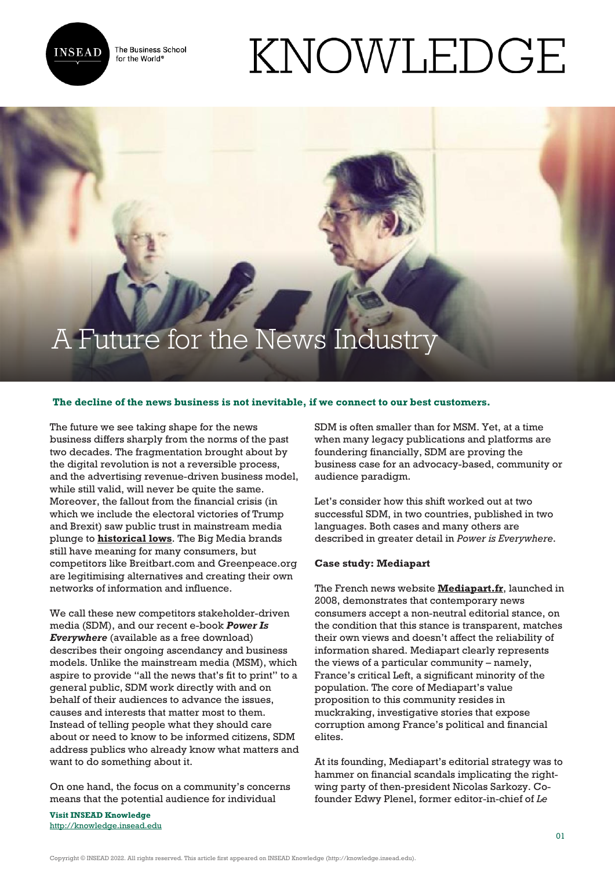

The Business School for the World<sup>®</sup>

# KNOWLEDGE

# A Future for the News Industry

## **The decline of the news business is not inevitable, if we connect to our best customers.**

The future we see taking shape for the news business differs sharply from the norms of the past two decades. The fragmentation brought about by the digital revolution is not a reversible process, and the advertising revenue-driven business model, while still valid, will never be quite the same. Moreover, the fallout from the financial crisis (in which we include the electoral victories of Trump and Brexit) saw public trust in mainstream media plunge to **[historical lows](http://wjla.com/news/nation-world/main-stream-media-continue-to-lose-the-publics-trust)**. The Big Media brands still have meaning for many consumers, but competitors like Breitbart.com and Greenpeace.org are legitimising alternatives and creating their own networks of information and influence.

We call these new competitors stakeholder-driven media (SDM), and our recent e-book *Power Is Everywhere* (available as a free download) describes their ongoing ascendancy and business models. Unlike the mainstream media (MSM), which aspire to provide "all the news that's fit to print" to a general public, SDM work directly with and on behalf of their audiences to advance the issues, causes and interests that matter most to them. Instead of telling people what they should care about or need to know to be informed citizens, SDM address publics who already know what matters and want to do something about it.

On one hand, the focus on a community's concerns means that the potential audience for individual

**Visit INSEAD Knowledge** <http://knowledge.insead.edu> SDM is often smaller than for MSM. Yet, at a time when many legacy publications and platforms are foundering financially, SDM are proving the business case for an advocacy-based, community or audience paradigm.

Let's consider how this shift worked out at two successful SDM, in two countries, published in two languages. Both cases and many others are described in greater detail in *Power is Everywhere*.

#### **Case study: Mediapart**

The French news website **[Mediapart.fr](https://www.mediapart.fr/)**, launched in 2008, demonstrates that contemporary news consumers accept a non-neutral editorial stance, on the condition that this stance is transparent, matches their own views and doesn't affect the reliability of information shared. Mediapart clearly represents the views of a particular community – namely, France's critical Left, a significant minority of the population. The core of Mediapart's value proposition to this community resides in muckraking, investigative stories that expose corruption among France's political and financial elites.

At its founding, Mediapart's editorial strategy was to hammer on financial scandals implicating the rightwing party of then-president Nicolas Sarkozy. Cofounder Edwy Plenel, former editor-in-chief of *Le*

Copyright © INSEAD 2022. All rights reserved. This article first appeared on INSEAD Knowledge (http://knowledge.insead.edu).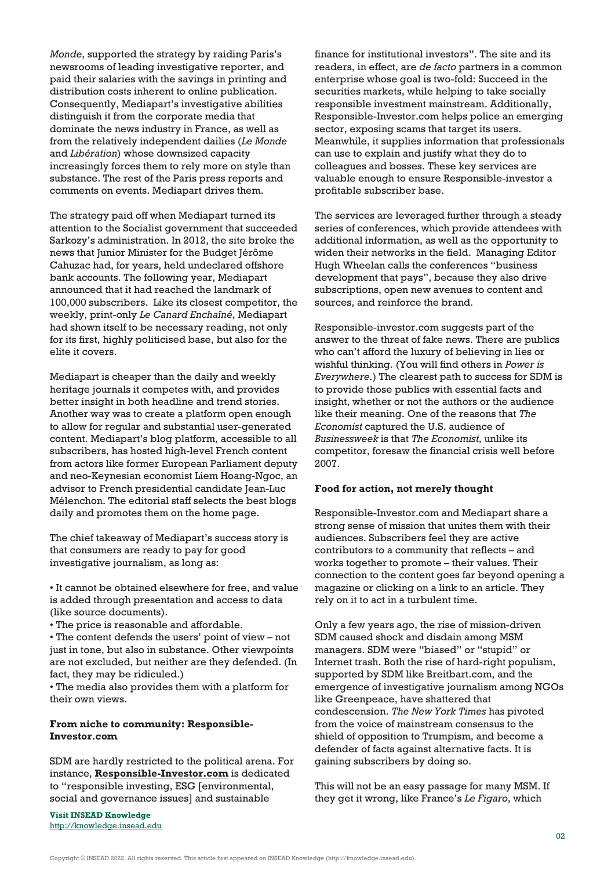*Monde*, supported the strategy by raiding Paris's newsrooms of leading investigative reporter, and paid their salaries with the savings in printing and distribution costs inherent to online publication. Consequently, Mediapart's investigative abilities distinguish it from the corporate media that dominate the news industry in France, as well as from the relatively independent dailies (*Le Monde* and *Libération*) whose downsized capacity increasingly forces them to rely more on style than substance. The rest of the Paris press reports and comments on events. Mediapart drives them.

The strategy paid off when Mediapart turned its attention to the Socialist government that succeeded Sarkozy's administration. In 2012, the site broke the news that Junior Minister for the Budget Jérôme Cahuzac had, for years, held undeclared offshore bank accounts. The following year, Mediapart announced that it had reached the landmark of 100,000 subscribers. Like its closest competitor, the weekly, print-only *Le Canard Enchaîné*, Mediapart had shown itself to be necessary reading, not only for its first, highly politicised base, but also for the elite it covers.

Mediapart is cheaper than the daily and weekly heritage journals it competes with, and provides better insight in both headline and trend stories. Another way was to create a platform open enough to allow for regular and substantial user-generated content. Mediapart's blog platform, accessible to all subscribers, has hosted high-level French content from actors like former European Parliament deputy and neo-Keynesian economist Liem Hoang-Ngoc, an advisor to French presidential candidate Jean-Luc Mélenchon. The editorial staff selects the best blogs daily and promotes them on the home page.

The chief takeaway of Mediapart's success story is that consumers are ready to pay for good investigative journalism, as long as:

• It cannot be obtained elsewhere for free, and value is added through presentation and access to data (like source documents).

• The price is reasonable and affordable.

• The content defends the users' point of view – not just in tone, but also in substance. Other viewpoints are not excluded, but neither are they defended. (In fact, they may be ridiculed.)

• The media also provides them with a platform for their own views.

## **From niche to community: Responsible-Investor.com**

SDM are hardly restricted to the political arena. For instance, **[Responsible-Investor.com](https://www.responsible-investor.com/)** is dedicated to "responsible investing, ESG [environmental, social and governance issues] and sustainable

**Visit INSEAD Knowledge** <http://knowledge.insead.edu>

finance for institutional investors". The site and its readers, in effect, are *de facto* partners in a common enterprise whose goal is two-fold: Succeed in the securities markets, while helping to take socially responsible investment mainstream. Additionally, Responsible-Investor.com helps police an emerging sector, exposing scams that target its users. Meanwhile, it supplies information that professionals can use to explain and justify what they do to colleagues and bosses. These key services are valuable enough to ensure Responsible-investor a profitable subscriber base.

The services are leveraged further through a steady series of conferences, which provide attendees with additional information, as well as the opportunity to widen their networks in the field. Managing Editor Hugh Wheelan calls the conferences "business development that pays", because they also drive subscriptions, open new avenues to content and sources, and reinforce the brand.

Responsible-investor.com suggests part of the answer to the threat of fake news. There are publics who can't afford the luxury of believing in lies or wishful thinking. (You will find others in *Power is Everywhere*.) The clearest path to success for SDM is to provide those publics with essential facts and insight, whether or not the authors or the audience like their meaning. One of the reasons that *The Economist* captured the U.S. audience of *Businessweek* is that *The Economist*, unlike its competitor, foresaw the financial crisis well before 2007.

#### **Food for action, not merely thought**

Responsible-Investor.com and Mediapart share a strong sense of mission that unites them with their audiences. Subscribers feel they are active contributors to a community that reflects – and works together to promote – their values. Their connection to the content goes far beyond opening a magazine or clicking on a link to an article. They rely on it to act in a turbulent time.

Only a few years ago, the rise of mission-driven SDM caused shock and disdain among MSM managers. SDM were "biased" or "stupid" or Internet trash. Both the rise of hard-right populism, supported by SDM like Breitbart.com, and the emergence of investigative journalism among NGOs like Greenpeace, have shattered that condescension. *The New York Times* has pivoted from the voice of mainstream consensus to the shield of opposition to Trumpism, and become a defender of facts against alternative facts. It is gaining subscribers by doing so.

This will not be an easy passage for many MSM. If they get it wrong, like France's *Le Figaro*, which

Copyright © INSEAD 2022. All rights reserved. This article first appeared on INSEAD Knowledge (http://knowledge.insead.edu).